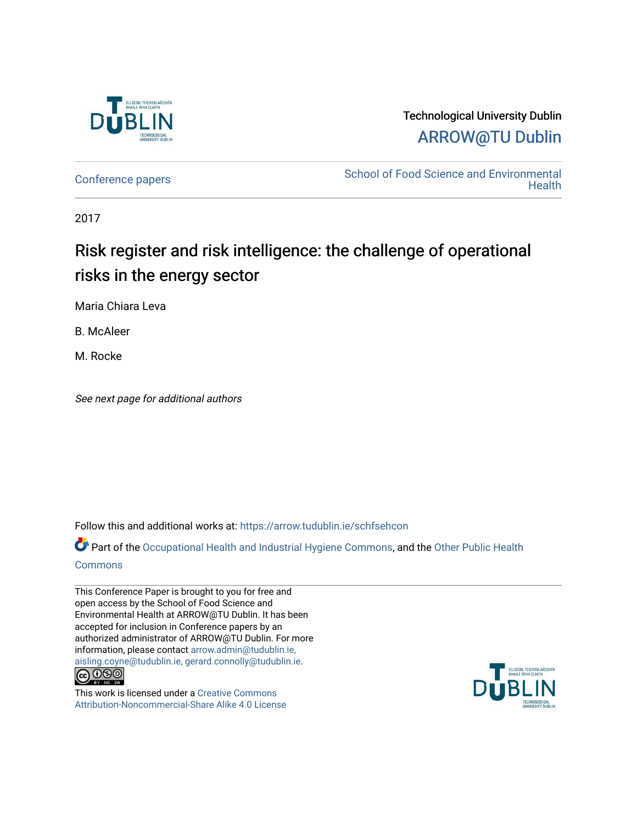

## Technological University Dublin [ARROW@TU Dublin](https://arrow.tudublin.ie/)

[Conference papers](https://arrow.tudublin.ie/schfsehcon) [School of Food Science and Environmental](https://arrow.tudublin.ie/schfseh)  **Health** 

2017

# Risk register and risk intelligence: the challenge of operational risks in the energy sector

Maria Chiara Leva

B. McAleer

M. Rocke

See next page for additional authors

Follow this and additional works at: [https://arrow.tudublin.ie/schfsehcon](https://arrow.tudublin.ie/schfsehcon?utm_source=arrow.tudublin.ie%2Fschfsehcon%2F33&utm_medium=PDF&utm_campaign=PDFCoverPages) 

Part of the [Occupational Health and Industrial Hygiene Commons,](http://network.bepress.com/hgg/discipline/742?utm_source=arrow.tudublin.ie%2Fschfsehcon%2F33&utm_medium=PDF&utm_campaign=PDFCoverPages) and the [Other Public Health](http://network.bepress.com/hgg/discipline/748?utm_source=arrow.tudublin.ie%2Fschfsehcon%2F33&utm_medium=PDF&utm_campaign=PDFCoverPages)

#### **[Commons](http://network.bepress.com/hgg/discipline/748?utm_source=arrow.tudublin.ie%2Fschfsehcon%2F33&utm_medium=PDF&utm_campaign=PDFCoverPages)**

This Conference Paper is brought to you for free and open access by the School of Food Science and Environmental Health at ARROW@TU Dublin. It has been accepted for inclusion in Conference papers by an authorized administrator of ARROW@TU Dublin. For more information, please contact [arrow.admin@tudublin.ie,](mailto:arrow.admin@tudublin.ie,%20aisling.coyne@tudublin.ie,%20gerard.connolly@tudublin.ie)  [aisling.coyne@tudublin.ie, gerard.connolly@tudublin.ie](mailto:arrow.admin@tudublin.ie,%20aisling.coyne@tudublin.ie,%20gerard.connolly@tudublin.ie).



This work is licensed under a [Creative Commons](http://creativecommons.org/licenses/by-nc-sa/4.0/) [Attribution-Noncommercial-Share Alike 4.0 License](http://creativecommons.org/licenses/by-nc-sa/4.0/)

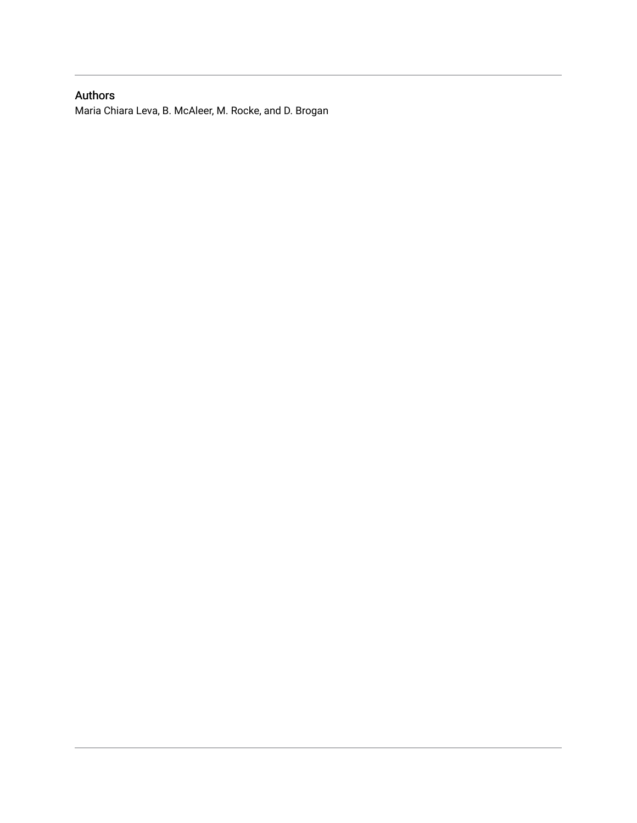### Authors

Maria Chiara Leva, B. McAleer, M. Rocke, and D. Brogan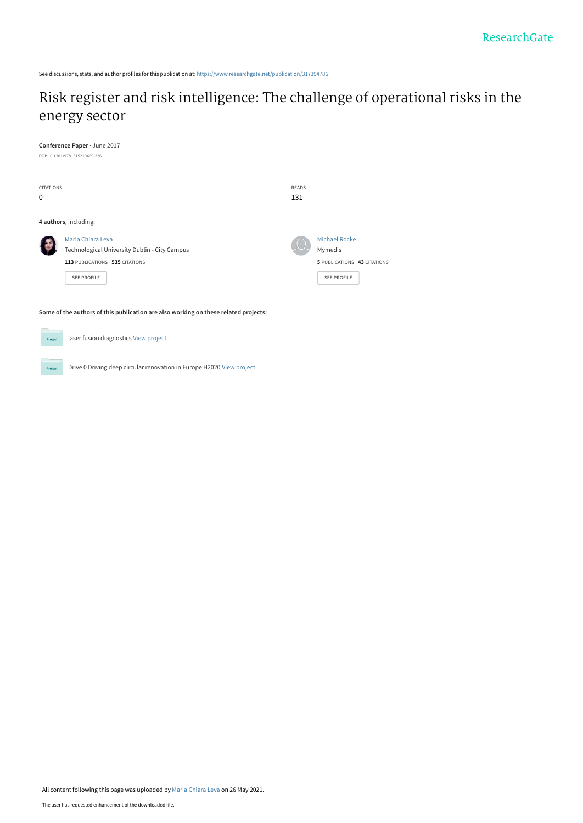See discussions, stats, and author profiles for this publication at: [https://www.researchgate.net/publication/317394786](https://www.researchgate.net/publication/317394786_Risk_register_and_risk_intelligence_The_challenge_of_operational_risks_in_the_energy_sector?enrichId=rgreq-e4faa1633630b9dfc639607b5febdaf2-XXX&enrichSource=Y292ZXJQYWdlOzMxNzM5NDc4NjtBUzoxMDI3NjM3ODkxODMzODU3QDE2MjIwMTkzNzQ4OTk%3D&el=1_x_2&_esc=publicationCoverPdf)

## [Risk register and risk intelligence: The challenge of operational risks in the](https://www.researchgate.net/publication/317394786_Risk_register_and_risk_intelligence_The_challenge_of_operational_risks_in_the_energy_sector?enrichId=rgreq-e4faa1633630b9dfc639607b5febdaf2-XXX&enrichSource=Y292ZXJQYWdlOzMxNzM5NDc4NjtBUzoxMDI3NjM3ODkxODMzODU3QDE2MjIwMTkzNzQ4OTk%3D&el=1_x_3&_esc=publicationCoverPdf) energy sector

**Conference Paper** · June 2017

|  | DOI: 10.1201/9781315210469-236 |  |
|--|--------------------------------|--|
|  |                                |  |

| CITATIONS<br>0 |                                                                                                                            | READS<br>131 |                                                                                      |
|----------------|----------------------------------------------------------------------------------------------------------------------------|--------------|--------------------------------------------------------------------------------------|
|                | 4 authors, including:                                                                                                      |              |                                                                                      |
|                | Maria Chiara Leva<br>Technological University Dublin - City Campus<br>113 PUBLICATIONS 535 CITATIONS<br><b>SEE PROFILE</b> | $\sqrt{2}$   | <b>Michael Rocke</b><br>Mymedis<br>5 PUBLICATIONS 43 CITATIONS<br><b>SEE PROFILE</b> |

**Some of the authors of this publication are also working on these related projects:**

 $Prc$ 

Drive 0 Driving deep circular renovation in Europe H2020 [View project](https://www.researchgate.net/project/Drive-0-Driving-deep-circular-renovation-in-Europe-H2020?enrichId=rgreq-e4faa1633630b9dfc639607b5febdaf2-XXX&enrichSource=Y292ZXJQYWdlOzMxNzM5NDc4NjtBUzoxMDI3NjM3ODkxODMzODU3QDE2MjIwMTkzNzQ4OTk%3D&el=1_x_9&_esc=publicationCoverPdf) **Project** 

laser fusion diagnostics [View project](https://www.researchgate.net/project/laser-fusion-diagnostics?enrichId=rgreq-e4faa1633630b9dfc639607b5febdaf2-XXX&enrichSource=Y292ZXJQYWdlOzMxNzM5NDc4NjtBUzoxMDI3NjM3ODkxODMzODU3QDE2MjIwMTkzNzQ4OTk%3D&el=1_x_9&_esc=publicationCoverPdf)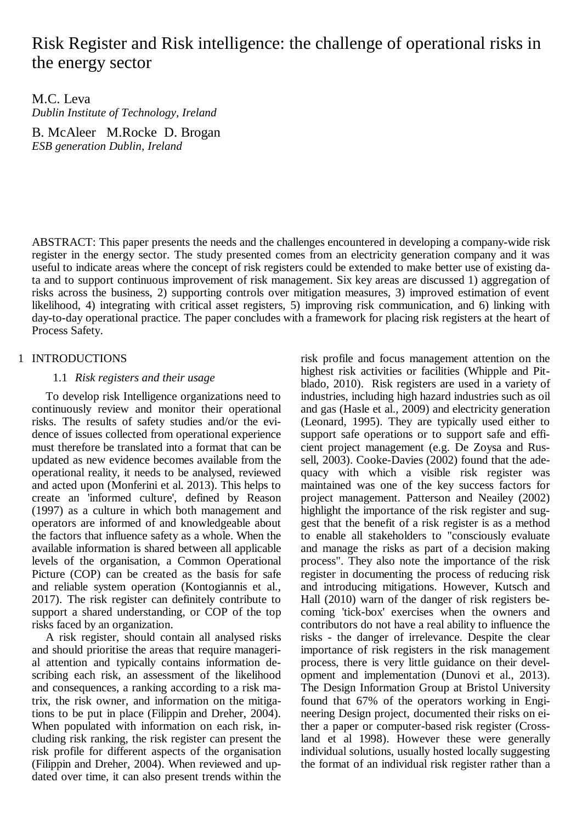## Risk Register and Risk intelligence: the challenge of operational risks in the energy sector

M.C. Leva *Dublin Institute of Technology, Ireland* 

B. McAleer M.Rocke D. Brogan *ESB generation Dublin, Ireland* 

ABSTRACT: This paper presents the needs and the challenges encountered in developing a company-wide risk register in the energy sector. The study presented comes from an electricity generation company and it was useful to indicate areas where the concept of risk registers could be extended to make better use of existing data and to support continuous improvement of risk management. Six key areas are discussed 1) aggregation of risks across the business, 2) supporting controls over mitigation measures, 3) improved estimation of event likelihood, 4) integrating with critical asset registers, 5) improving risk communication, and 6) linking with day-to-day operational practice. The paper concludes with a framework for placing risk registers at the heart of Process Safety.

### 1 INTRODUCTIONS

#### 1.1 *Risk registers and their usage*

To develop risk Intelligence organizations need to continuously review and monitor their operational risks. The results of safety studies and/or the evidence of issues collected from operational experience must therefore be translated into a format that can be updated as new evidence becomes available from the operational reality, it needs to be analysed, reviewed and acted upon (Monferini et al. 2013). This helps to create an 'informed culture', defined by Reason (1997) as a culture in which both management and operators are informed of and knowledgeable about the factors that influence safety as a whole. When the available information is shared between all applicable levels of the organisation, a Common Operational Picture (COP) can be created as the basis for safe and reliable system operation (Kontogiannis et al., 2017). The risk register can definitely contribute to support a shared understanding, or COP of the top risks faced by an organization.

A risk register, should contain all analysed risks and should prioritise the areas that require managerial attention and typically contains information describing each risk, an assessment of the likelihood and consequences, a ranking according to a risk matrix, the risk owner, and information on the mitigations to be put in place (Filippin and Dreher, 2004). When populated with information on each risk, including risk ranking, the risk register can present the risk profile for different aspects of the organisation (Filippin and Dreher, 2004). When reviewed and updated over time, it can also present trends within the

risk profile and focus management attention on the highest risk activities or facilities (Whipple and Pitblado, 2010). Risk registers are used in a variety of industries, including high hazard industries such as oil and gas (Hasle et al., 2009) and electricity generation (Leonard, 1995). They are typically used either to support safe operations or to support safe and efficient project management (e.g. De Zoysa and Russell, 2003). Cooke-Davies (2002) found that the adequacy with which a visible risk register was maintained was one of the key success factors for project management. Patterson and Neailey (2002) highlight the importance of the risk register and suggest that the benefit of a risk register is as a method to enable all stakeholders to "consciously evaluate and manage the risks as part of a decision making process". They also note the importance of the risk register in documenting the process of reducing risk and introducing mitigations. However, Kutsch and Hall (2010) warn of the danger of risk registers becoming 'tick-box' exercises when the owners and contributors do not have a real ability to influence the risks - the danger of irrelevance. Despite the clear importance of risk registers in the risk management process, there is very little guidance on their development and implementation (Dunovi et al., 2013). The Design Information Group at Bristol University found that 67% of the operators working in Engineering Design project, documented their risks on either a paper or computer-based risk register (Crossland et al 1998). However these were generally individual solutions, usually hosted locally suggesting the format of an individual risk register rather than a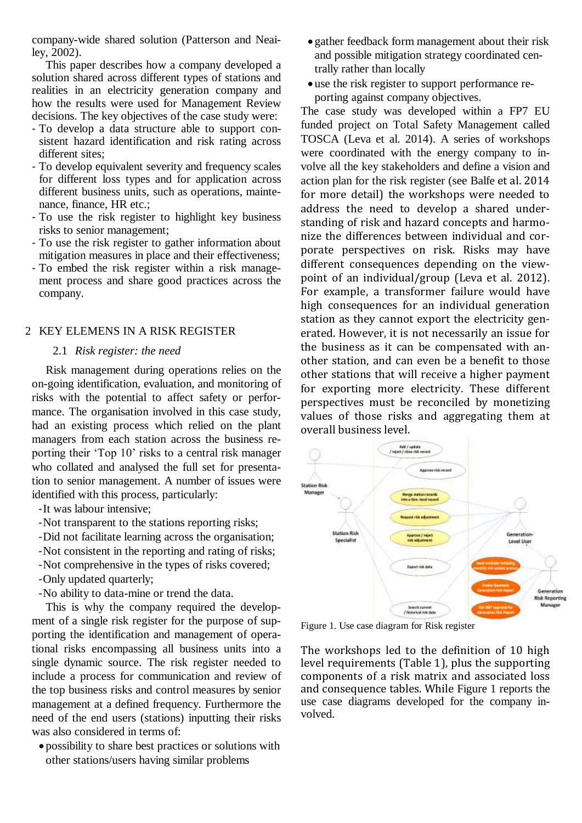company-wide shared solution (Patterson and Neailey, 2002).

This paper describes how a company developed a solution shared across different types of stations and realities in an electricity generation company and how the results were used for Management Review decisions. The key objectives of the case study were:

- To develop a data structure able to support consistent hazard identification and risk rating across different sites;
- To develop equivalent severity and frequency scales for different loss types and for application across different business units, such as operations, maintenance, finance, HR etc.;
- To use the risk register to highlight key business risks to senior management;
- To use the risk register to gather information about mitigation measures in place and their effectiveness;
- To embed the risk register within a risk management process and share good practices across the company.

#### 2 KEY ELEMENS IN A RISK REGISTER

#### 2.1 *Risk register: the need*

Risk management during operations relies on the on-going identification, evaluation, and monitoring of risks with the potential to affect safety or performance. The organisation involved in this case study, had an existing process which relied on the plant managers from each station across the business reporting their 'Top 10' risks to a central risk manager who collated and analysed the full set for presentation to senior management. A number of issues were identified with this process, particularly:

- -It was labour intensive;
- -Not transparent to the stations reporting risks;
- -Did not facilitate learning across the organisation;
- -Not consistent in the reporting and rating of risks;
- -Not comprehensive in the types of risks covered;
- -Only updated quarterly;
- -No ability to data-mine or trend the data.

This is why the company required the development of a single risk register for the purpose of supporting the identification and management of operational risks encompassing all business units into a single dynamic source. The risk register needed to include a process for communication and review of the top business risks and control measures by senior management at a defined frequency. Furthermore the need of the end users (stations) inputting their risks was also considered in terms of:

 possibility to share best practices or solutions with other stations/users having similar problems

- gather feedback form management about their risk and possible mitigation strategy coordinated centrally rather than locally
- use the risk register to support performance reporting against company objectives.

The case study was developed within a FP7 EU funded project on Total Safety Management called TOSCA (Leva et al. 2014). A series of workshops were coordinated with the energy company to involve all the key stakeholders and define a vision and action plan for the risk register (see Balfe et al. 2014 for more detail) the workshops were needed to address the need to develop a shared understanding of risk and hazard concepts and harmonize the differences between individual and corporate perspectives on risk. Risks may have different consequences depending on the viewpoint of an individual/group (Leva et al. 2012). For example, a transformer failure would have high consequences for an individual generation station as they cannot export the electricity generated. However, it is not necessarily an issue for the business as it can be compensated with another station, and can even be a benefit to those other stations that will receive a higher payment for exporting more electricity. These different perspectives must be reconciled by monetizing values of those risks and aggregating them at overall business level.



Figure 1. Use case diagram for Risk register

The workshops led to the definition of 10 high level requirements (Table 1), plus the supporting components of a risk matrix and associated loss and consequence tables. While Figure 1 reports the use case diagrams developed for the company involved.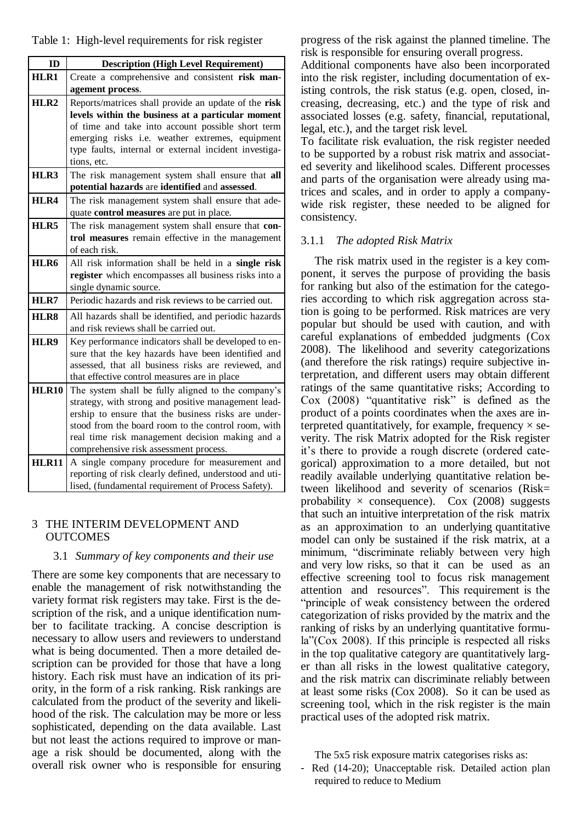| ID           | <b>Description (High Level Requirement)</b>                                                                |
|--------------|------------------------------------------------------------------------------------------------------------|
| HLR1         | Create a comprehensive and consistent risk man-                                                            |
|              | agement process.                                                                                           |
| HLR2         | Reports/matrices shall provide an update of the risk                                                       |
|              | levels within the business at a particular moment                                                          |
|              | of time and take into account possible short term                                                          |
|              | emerging risks i.e. weather extremes, equipment                                                            |
|              | type faults, internal or external incident investiga-                                                      |
|              | tions, etc.                                                                                                |
| HLR3         | The risk management system shall ensure that all                                                           |
|              | potential hazards are identified and assessed.                                                             |
| HLR4         | The risk management system shall ensure that ade-                                                          |
|              | quate control measures are put in place.                                                                   |
| HLR5         | The risk management system shall ensure that con-                                                          |
|              | trol measures remain effective in the management                                                           |
|              | of each risk.                                                                                              |
| HLR6         | All risk information shall be held in a single risk                                                        |
|              | register which encompasses all business risks into a                                                       |
|              | single dynamic source.                                                                                     |
| HLR7         | Periodic hazards and risk reviews to be carried out.                                                       |
| HLR8         | All hazards shall be identified, and periodic hazards                                                      |
|              | and risk reviews shall be carried out.                                                                     |
| HLR9         | Key performance indicators shall be developed to en-                                                       |
|              | sure that the key hazards have been identified and                                                         |
|              | assessed, that all business risks are reviewed, and                                                        |
|              | that effective control measures are in place                                                               |
| <b>HLR10</b> | The system shall be fully aligned to the company's                                                         |
|              | strategy, with strong and positive management lead-                                                        |
|              | ership to ensure that the business risks are under-<br>stood from the board room to the control room, with |
|              | real time risk management decision making and a                                                            |
|              | comprehensive risk assessment process.                                                                     |
| <b>HLR11</b> | A single company procedure for measurement and                                                             |
|              | reporting of risk clearly defined, understood and uti-                                                     |
|              | lised, (fundamental requirement of Process Safety).                                                        |

### 3 THE INTERIM DEVELOPMENT AND OUTCOMES

### 3.1 *Summary of key components and their use*

There are some key components that are necessary to enable the management of risk notwithstanding the variety format risk registers may take. First is the description of the risk, and a unique identification number to facilitate tracking. A concise description is necessary to allow users and reviewers to understand what is being documented. Then a more detailed description can be provided for those that have a long history. Each risk must have an indication of its priority, in the form of a risk ranking. Risk rankings are calculated from the product of the severity and likelihood of the risk. The calculation may be more or less sophisticated, depending on the data available. Last but not least the actions required to improve or manage a risk should be documented, along with the overall risk owner who is responsible for ensuring

progress of the risk against the planned timeline. The risk is responsible for ensuring overall progress.

Additional components have also been incorporated into the risk register, including documentation of existing controls, the risk status (e.g. open, closed, increasing, decreasing, etc.) and the type of risk and associated losses (e.g. safety, financial, reputational, legal, etc.), and the target risk level.

To facilitate risk evaluation, the risk register needed to be supported by a robust risk matrix and associated severity and likelihood scales. Different processes and parts of the organisation were already using matrices and scales, and in order to apply a companywide risk register, these needed to be aligned for consistency.

### 3.1.1 *The adopted Risk Matrix*

The risk matrix used in the register is a key component, it serves the purpose of providing the basis for ranking but also of the estimation for the categories according to which risk aggregation across station is going to be performed. Risk matrices are very popular but should be used with caution, and with careful explanations of embedded judgments (Cox 2008). The likelihood and severity categorizations (and therefore the risk ratings) require subjective interpretation, and different users may obtain different ratings of the same quantitative risks; According to  $Cox$ <sup> $(2008)$ </sup> "quantitative risk" is defined as the product of a points coordinates when the axes are interpreted quantitatively, for example, frequency  $\times$  severity. The risk Matrix adopted for the Risk register it's there to provide a rough discrete (ordered categorical) approximation to a more detailed, but not readily available underlying quantitative relation between likelihood and severity of scenarios (Risk= probability  $\times$  consequence). Cox (2008) suggests that such an intuitive interpretation of the risk matrix as an approximation to an underlying quantitative model can only be sustained if the risk matrix, at a minimum, "discriminate reliably between very high and very low risks, so that it can be used as an effective screening tool to focus risk management attention and resources". This requirement is the "principle of weak consistency between the ordered categorization of risks provided by the matrix and the ranking of risks by an underlying quantitative formula"(Cox 2008). If this principle is respected all risks in the top qualitative category are quantitatively larger than all risks in the lowest qualitative category, and the risk matrix can discriminate reliably between at least some risks (Cox 2008). So it can be used as screening tool, which in the risk register is the main practical uses of the adopted risk matrix.

The 5x5 risk exposure matrix categorises risks as:

- Red (14-20); Unacceptable risk. Detailed action plan required to reduce to Medium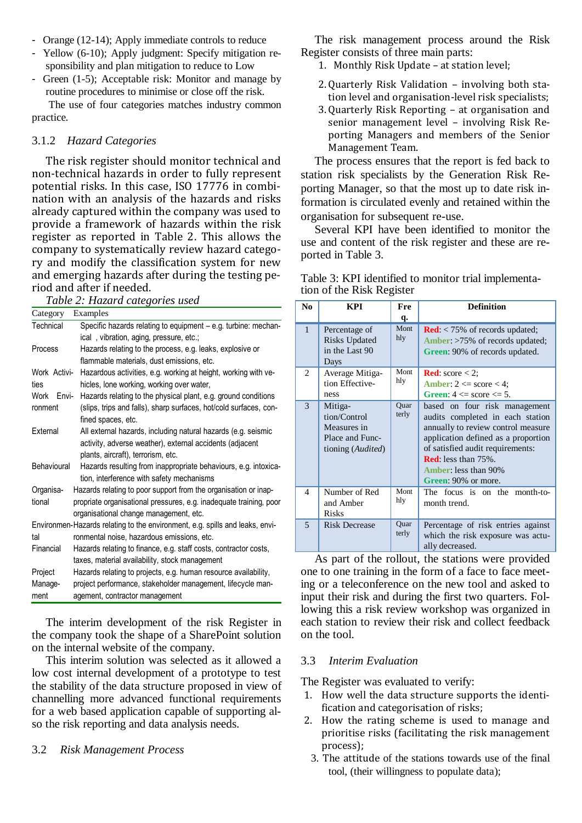- Orange (12-14); Apply immediate controls to reduce
- Yellow (6-10); Apply judgment: Specify mitigation responsibility and plan mitigation to reduce to Low
- Green (1-5); Acceptable risk: Monitor and manage by routine procedures to minimise or close off the risk.

The use of four categories matches industry common practice.

#### 3.1.2 *Hazard Categories*

The risk register should monitor technical and non-technical hazards in order to fully represent potential risks. In this case, ISO 17776 in combination with an analysis of the hazards and risks already captured within the company was used to provide a framework of hazards within the risk register as reported in Table 2. This allows the company to systematically review hazard category and modify the classification system for new and emerging hazards after during the testing period and after if needed.

*Table 2: Hazard categories used*

| Category                                          | Examples                                                                     |  |  |  |  |
|---------------------------------------------------|------------------------------------------------------------------------------|--|--|--|--|
| Technical                                         | Specific hazards relating to equipment - e.g. turbine: mechan-               |  |  |  |  |
|                                                   | ical, vibration, aging, pressure, etc.;                                      |  |  |  |  |
| <b>Process</b>                                    | Hazards relating to the process, e.g. leaks, explosive or                    |  |  |  |  |
|                                                   | flammable materials, dust emissions, etc.                                    |  |  |  |  |
| Work Activi-                                      | Hazardous activities, e.g. working at height, working with ve-               |  |  |  |  |
| ties                                              | hicles, lone working, working over water,                                    |  |  |  |  |
| Work Envi-                                        | Hazards relating to the physical plant, e.g. ground conditions               |  |  |  |  |
| ronment                                           | (slips, trips and falls), sharp surfaces, hot/cold surfaces, con-            |  |  |  |  |
|                                                   | fined spaces, etc.                                                           |  |  |  |  |
| External                                          | All external hazards, including natural hazards (e.g. seismic                |  |  |  |  |
|                                                   | activity, adverse weather), external accidents (adjacent                     |  |  |  |  |
|                                                   | plants, aircraft), terrorism, etc.                                           |  |  |  |  |
| Behavioural                                       | Hazards resulting from inappropriate behaviours, e.g. intoxica-              |  |  |  |  |
|                                                   | tion, interference with safety mechanisms                                    |  |  |  |  |
| Organisa-                                         | Hazards relating to poor support from the organisation or inap-              |  |  |  |  |
| tional                                            | propriate organisational pressures, e.g. inadequate training, poor           |  |  |  |  |
|                                                   | organisational change management, etc.                                       |  |  |  |  |
|                                                   | Environmen-Hazards relating to the environment, e.g. spills and leaks, envi- |  |  |  |  |
| ronmental noise, hazardous emissions, etc.<br>tal |                                                                              |  |  |  |  |
| Financial                                         |                                                                              |  |  |  |  |
|                                                   | taxes, material availability, stock management                               |  |  |  |  |
| Project                                           | Hazards relating to projects, e.g. human resource availability,              |  |  |  |  |
| Manage-                                           | project performance, stakeholder management, lifecycle man-                  |  |  |  |  |
| ment                                              | agement, contractor management                                               |  |  |  |  |
|                                                   | Hazards relating to finance, e.g. staff costs, contractor costs,             |  |  |  |  |

The interim development of the risk Register in the company took the shape of a SharePoint solution on the internal website of the company.

This interim solution was selected as it allowed a low cost internal development of a prototype to test the stability of the data structure proposed in view of channelling more advanced functional requirements for a web based application capable of supporting also the risk reporting and data analysis needs.

#### 3.2 *Risk Management Process*

The risk management process around the Risk Register consists of three main parts:

- 1. Monthly Risk Update at station level;
- 2. Quarterly Risk Validation involving both station level and organisation-level risk specialists;
- 3. Quarterly Risk Reporting at organisation and senior management level – involving Risk Reporting Managers and members of the Senior Management Team.

The process ensures that the report is fed back to station risk specialists by the Generation Risk Reporting Manager, so that the most up to date risk information is circulated evenly and retained within the organisation for subsequent re-use.

Several KPI have been identified to monitor the use and content of the risk register and these are reported in Table 3.

| N <sub>0</sub>              | KPI                                                                                     | Fre<br>q.     | <b>Definition</b>                                                                                                                                                                                                                                                             |  |
|-----------------------------|-----------------------------------------------------------------------------------------|---------------|-------------------------------------------------------------------------------------------------------------------------------------------------------------------------------------------------------------------------------------------------------------------------------|--|
| $\mathbf{1}$                | Percentage of<br><b>Risks Updated</b><br>in the Last 90<br>Days                         | Mont<br>hly   | <b>Red</b> $\leq$ 75% of records updated;<br>Amber: >75% of records updated;<br>Green: 90% of records updated.                                                                                                                                                                |  |
| $\mathcal{D}_{\mathcal{L}}$ | Average Mitiga-<br>tion Effective-<br>ness                                              | Mont<br>hly   | <b>Red</b> : score $<$ 2;<br>Amber: $2 \le$ score $\le$ 4;<br>Green: $4 \le$ score $\le$ 5.                                                                                                                                                                                   |  |
| 3                           | Mitiga-<br>tion/Control<br>Measures in<br>Place and Func-<br>tioning ( <i>Audited</i> ) | Quar<br>terly | based on four risk management<br>audits completed in each station<br>annually to review control measure<br>application defined as a proportion<br>of satisfied audit requirements:<br>$\text{Red}$ : less than $75\%$ .<br><b>Amber:</b> less than 90%<br>Green: 90% or more. |  |
| $\overline{\mathcal{A}}$    | Number of Red<br>and Amber<br>Risks                                                     | Mont<br>hly   | The focus is on the month-to-<br>month trend.                                                                                                                                                                                                                                 |  |
| $\overline{5}$              | <b>Risk Decrease</b>                                                                    | Ouar<br>terly | Percentage of risk entries against<br>which the risk exposure was actu-<br>ally decreased.                                                                                                                                                                                    |  |

Table 3: KPI identified to monitor trial implementation of the Risk Register

As part of the rollout, the stations were provided one to one training in the form of a face to face meeting or a teleconference on the new tool and asked to input their risk and during the first two quarters. Following this a risk review workshop was organized in each station to review their risk and collect feedback on the tool.

#### 3.3 *Interim Evaluation*

The Register was evaluated to verify:

- 1. How well the data structure supports the identification and categorisation of risks;
- 2. How the rating scheme is used to manage and prioritise risks (facilitating the risk management process);
	- 3. The attitude of the stations towards use of the final tool, (their willingness to populate data);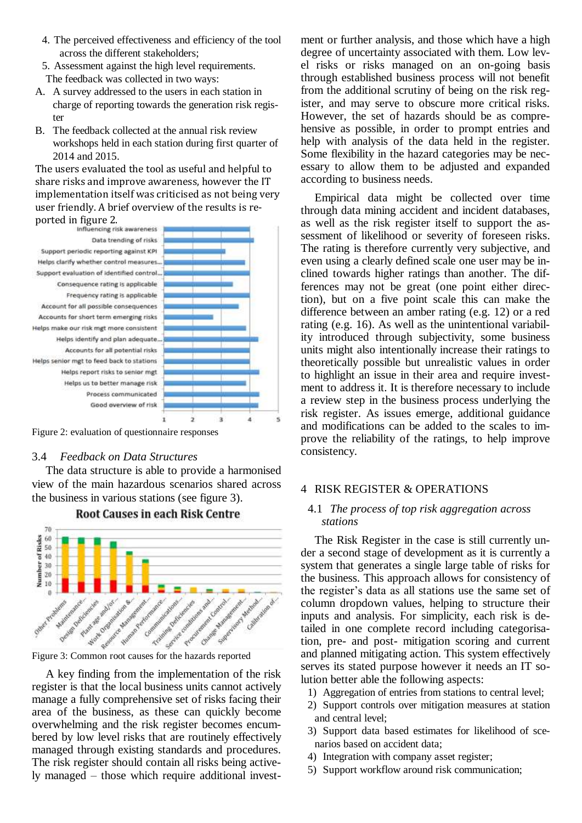- 4. The perceived effectiveness and efficiency of the tool across the different stakeholders;
- 5. Assessment against the high level requirements. The feedback was collected in two ways:
- A. A survey addressed to the users in each station in charge of reporting towards the generation risk register
- B. The feedback collected at the annual risk review workshops held in each station during first quarter of 2014 and 2015.

The users evaluated the tool as useful and helpful to share risks and improve awareness, however the IT implementation itself was criticised as not being very user friendly. A brief overview of the results is reported in figure 2.<br>Influencing risk awareness



Figure 2: evaluation of questionnaire responses

#### 3.4 *Feedback on Data Structures*

The data structure is able to provide a harmonised view of the main hazardous scenarios shared across the business in various stations (see figure 3).



**Root Causes in each Risk Centre** 

A key finding from the implementation of the risk register is that the local business units cannot actively manage a fully comprehensive set of risks facing their area of the business, as these can quickly become overwhelming and the risk register becomes encumbered by low level risks that are routinely effectively managed through existing standards and procedures. The risk register should contain all risks being actively managed – those which require additional investment or further analysis, and those which have a high degree of uncertainty associated with them. Low level risks or risks managed on an on-going basis through established business process will not benefit from the additional scrutiny of being on the risk register, and may serve to obscure more critical risks. However, the set of hazards should be as comprehensive as possible, in order to prompt entries and help with analysis of the data held in the register. Some flexibility in the hazard categories may be necessary to allow them to be adjusted and expanded according to business needs.

Empirical data might be collected over time through data mining accident and incident databases, as well as the risk register itself to support the assessment of likelihood or severity of foreseen risks. The rating is therefore currently very subjective, and even using a clearly defined scale one user may be inclined towards higher ratings than another. The differences may not be great (one point either direction), but on a five point scale this can make the difference between an amber rating (e.g. 12) or a red rating (e.g. 16). As well as the unintentional variability introduced through subjectivity, some business units might also intentionally increase their ratings to theoretically possible but unrealistic values in order to highlight an issue in their area and require investment to address it. It is therefore necessary to include a review step in the business process underlying the risk register. As issues emerge, additional guidance and modifications can be added to the scales to improve the reliability of the ratings, to help improve consistency.

#### 4 RISK REGISTER & OPERATIONS

ś

#### 4.1 *The process of top risk aggregation across stations*

The Risk Register in the case is still currently under a second stage of development as it is currently a system that generates a single large table of risks for the business. This approach allows for consistency of the register's data as all stations use the same set of column dropdown values, helping to structure their inputs and analysis. For simplicity, each risk is detailed in one complete record including categorisation, pre- and post- mitigation scoring and current and planned mitigating action. This system effectively serves its stated purpose however it needs an IT solution better able the following aspects:

- 1) Aggregation of entries from stations to central level;
- 2) Support controls over mitigation measures at station and central level;
- 3) Support data based estimates for likelihood of scenarios based on accident data;
- 4) Integration with company asset register;
- 5) Support workflow around risk communication;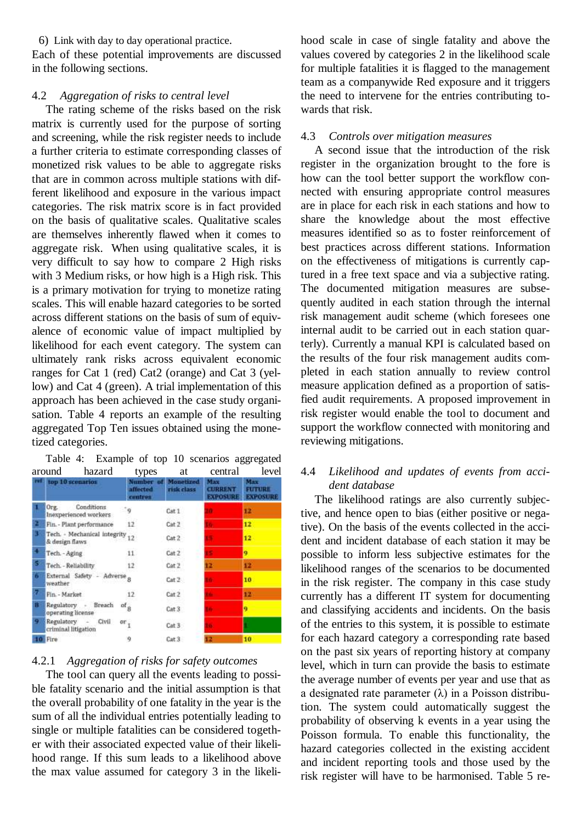6) Link with day to day operational practice. Each of these potential improvements are discussed in the following sections.

#### 4.2 *Aggregation of risks to central level*

The rating scheme of the risks based on the risk matrix is currently used for the purpose of sorting and screening, while the risk register needs to include a further criteria to estimate corresponding classes of monetized risk values to be able to aggregate risks that are in common across multiple stations with different likelihood and exposure in the various impact categories. The risk matrix score is in fact provided on the basis of qualitative scales. Qualitative scales are themselves inherently flawed when it comes to aggregate risk. When using qualitative scales, it is very difficult to say how to compare 2 High risks with 3 Medium risks, or how high is a High risk. This is a primary motivation for trying to monetize rating scales. This will enable hazard categories to be sorted across different stations on the basis of sum of equivalence of economic value of impact multiplied by likelihood for each event category. The system can ultimately rank risks across equivalent economic ranges for Cat 1 (red) Cat2 (orange) and Cat 3 (yellow) and Cat 4 (green). A trial implementation of this approach has been achieved in the case study organisation. Table 4 reports an example of the resulting aggregated Top Ten issues obtained using the monetized categories.

Table 4: Example of top 10 scenarios aggregated

|    | hazard<br>around                                     | types                            | at                      | central                                         | level                                   |
|----|------------------------------------------------------|----------------------------------|-------------------------|-------------------------------------------------|-----------------------------------------|
|    | top 10 scenarios                                     | Number of<br>affected<br>contres | Monetized<br>risk class | <b>Max</b><br><b>CURRENT</b><br><b>EXPOSURI</b> | Max<br><b>FUTURE</b><br><b>EXPOSURE</b> |
|    | Conditions<br>Org.<br>Inexperienced workers          |                                  | Cat 1                   |                                                 | ш                                       |
|    | Fin. - Plant performance                             | 12                               | Cat 2                   |                                                 | 12                                      |
|    | Tech. - Mechanical integrity<br>& design flaws       | 12                               | Cat 2                   |                                                 | 12                                      |
|    | Tech. - Aging                                        | 11                               | Cat 2                   |                                                 | 9                                       |
|    | Tech. - Reliability                                  | 12.                              | Cat 2                   |                                                 | 12                                      |
|    | External Safety - Adverse<br>weather                 |                                  | Cat 2                   |                                                 | 10                                      |
|    | Fin. - Market                                        | 12                               | Cat2                    |                                                 | 12                                      |
| B  | Breach<br>Regulatory -<br>operating license          | $^{\circ f}$ g                   | Cat3                    | <b>College</b>                                  | a                                       |
| o. | Regulatory<br>Civil<br>$or_+$<br>criminal litigation |                                  | Cat 3                   | œ                                               |                                         |
|    | 10 Pire                                              | ١Q                               | Cat3                    |                                                 | 10                                      |

#### 4.2.1 *Aggregation of risks for safety outcomes*

The tool can query all the events leading to possible fatality scenario and the initial assumption is that the overall probability of one fatality in the year is the sum of all the individual entries potentially leading to single or multiple fatalities can be considered together with their associated expected value of their likelihood range. If this sum leads to a likelihood above the max value assumed for category 3 in the likelihood scale in case of single fatality and above the values covered by categories 2 in the likelihood scale for multiple fatalities it is flagged to the management team as a companywide Red exposure and it triggers the need to intervene for the entries contributing towards that risk.

#### 4.3 *Controls over mitigation measures*

A second issue that the introduction of the risk register in the organization brought to the fore is how can the tool better support the workflow connected with ensuring appropriate control measures are in place for each risk in each stations and how to share the knowledge about the most effective measures identified so as to foster reinforcement of best practices across different stations. Information on the effectiveness of mitigations is currently captured in a free text space and via a subjective rating. The documented mitigation measures are subsequently audited in each station through the internal risk management audit scheme (which foresees one internal audit to be carried out in each station quarterly). Currently a manual KPI is calculated based on the results of the four risk management audits completed in each station annually to review control measure application defined as a proportion of satisfied audit requirements. A proposed improvement in risk register would enable the tool to document and support the workflow connected with monitoring and reviewing mitigations.

### 4.4 *Likelihood and updates of events from accident database*

The likelihood ratings are also currently subjective, and hence open to bias (either positive or negative). On the basis of the events collected in the accident and incident database of each station it may be possible to inform less subjective estimates for the likelihood ranges of the scenarios to be documented in the risk register. The company in this case study currently has a different IT system for documenting and classifying accidents and incidents. On the basis of the entries to this system, it is possible to estimate for each hazard category a corresponding rate based on the past six years of reporting history at company level, which in turn can provide the basis to estimate the average number of events per year and use that as a designated rate parameter  $(\lambda)$  in a Poisson distribution. The system could automatically suggest the probability of observing k events in a year using the Poisson formula. To enable this functionality, the hazard categories collected in the existing accident and incident reporting tools and those used by the risk register will have to be harmonised. Table 5 re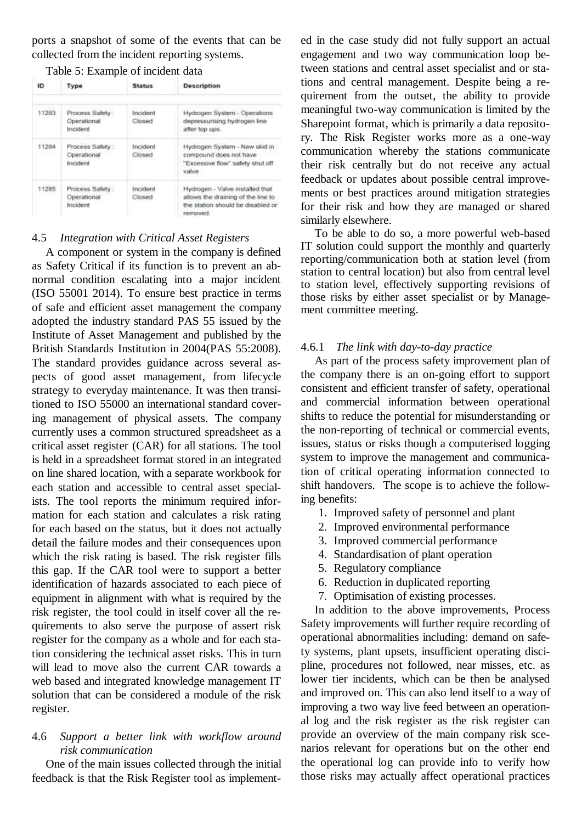ports a snapshot of some of the events that can be collected from the incident reporting systems.

| ID    | Type                                        | <b>Status</b>      | Description                                                                                                           |
|-------|---------------------------------------------|--------------------|-----------------------------------------------------------------------------------------------------------------------|
| 11283 | Process Safety:<br>Operational<br>Incident  | Incident<br>Closed | Hydrogen System - Operations<br>depressurising hydrogen line<br>after top ups.                                        |
| 11284 | Process Safety:<br>Operational<br>Incident  | Incident<br>Closed | Hydrogen System - New skid in<br>compound does not have<br>"Excessive flow" safety shut off<br>valve                  |
| 11285 | Process Safety :<br>Operational<br>Incident | Incident<br>Closed | Hydrogen - Valve installed that<br>allows the draining of the line to<br>the station should be disabled or<br>removed |

### Table 5: Example of incident data

### 4.5 *Integration with Critical Asset Registers*

A component or system in the company is defined as Safety Critical if its function is to prevent an abnormal condition escalating into a major incident (ISO 55001 2014). To ensure best practice in terms of safe and efficient asset management the company adopted the industry standard PAS 55 issued by the Institute of Asset Management and published by the [British Standards Institution](https://en.wikipedia.org/wiki/British_Standards_Institution) in 2004(PAS 55:2008). The standard provides guidance across several aspects of good asset management, from lifecycle strategy to everyday maintenance. It was then transitioned to ISO 55000 an [international standard](https://en.wikipedia.org/wiki/International_standard) covering management of physical assets. The company currently uses a common structured spreadsheet as a critical asset register (CAR) for all stations. The tool is held in a spreadsheet format stored in an integrated on line shared location, with a separate workbook for each station and accessible to central asset specialists. The tool reports the minimum required information for each station and calculates a risk rating for each based on the status, but it does not actually detail the failure modes and their consequences upon which the risk rating is based. The risk register fills this gap. If the CAR tool were to support a better identification of hazards associated to each piece of equipment in alignment with what is required by the risk register, the tool could in itself cover all the requirements to also serve the purpose of assert risk register for the company as a whole and for each station considering the technical asset risks. This in turn will lead to move also the current CAR towards a web based and integrated knowledge management IT solution that can be considered a module of the risk register.

### 4.6 *Support a better link with workflow around risk communication*

One of the main issues collected through the initial feedback is that the Risk Register tool as implemented in the case study did not fully support an actual engagement and two way communication loop between stations and central asset specialist and or stations and central management. Despite being a requirement from the outset, the ability to provide meaningful two-way communication is limited by the Sharepoint format, which is primarily a data repository. The Risk Register works more as a one-way communication whereby the stations communicate their risk centrally but do not receive any actual feedback or updates about possible central improvements or best practices around mitigation strategies for their risk and how they are managed or shared similarly elsewhere.

To be able to do so, a more powerful web-based IT solution could support the monthly and quarterly reporting/communication both at station level (from station to central location) but also from central level to station level, effectively supporting revisions of those risks by either asset specialist or by Management committee meeting.

### 4.6.1 *The link with day-to-day practice*

As part of the process safety improvement plan of the company there is an on-going effort to support consistent and efficient transfer of safety, operational and commercial information between operational shifts to reduce the potential for misunderstanding or the non-reporting of technical or commercial events, issues, status or risks though a computerised logging system to improve the management and communication of critical operating information connected to shift handovers. The scope is to achieve the following benefits:

- 1. Improved safety of personnel and plant
- 2. Improved environmental performance
- 3. Improved commercial performance
- 4. Standardisation of plant operation
- 5. Regulatory compliance
- 6. Reduction in duplicated reporting
- 7. Optimisation of existing processes.

In addition to the above improvements, Process Safety improvements will further require recording of operational abnormalities including: demand on safety systems, plant upsets, insufficient operating discipline, procedures not followed, near misses, etc. as lower tier incidents, which can be then be analysed and improved on. This can also lend itself to a way of improving a two way live feed between an operational log and the risk register as the risk register can provide an overview of the main company risk scenarios relevant for operations but on the other end the operational log can provide info to verify how those risks may actually affect operational practices